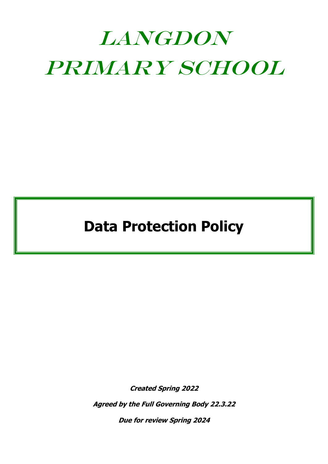# LANGDON Primary School

**Data Protection Policy**

**Created Spring 2022**

**Agreed by the Full Governing Body 22.3.22**

**Due for review Spring 2024**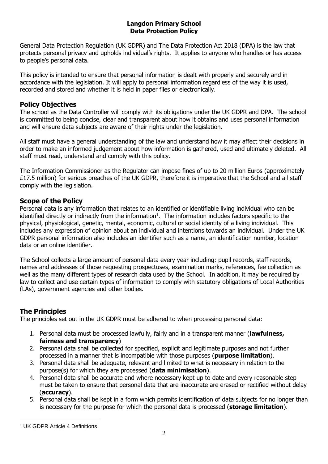#### **Langdon Primary School Data Protection Policy**

General Data Protection Regulation (UK GDPR) and The Data Protection Act 2018 (DPA) is the law that protects personal privacy and upholds individual's rights. It applies to anyone who handles or has access to people's personal data.

This policy is intended to ensure that personal information is dealt with properly and securely and in accordance with the legislation. It will apply to personal information regardless of the way it is used, recorded and stored and whether it is held in paper files or electronically.

## **Policy Objectives**

The school as the Data Controller will comply with its obligations under the UK GDPR and DPA. The school is committed to being concise, clear and transparent about how it obtains and uses personal information and will ensure data subjects are aware of their rights under the legislation.

All staff must have a general understanding of the law and understand how it may affect their decisions in order to make an informed judgement about how information is gathered, used and ultimately deleted. All staff must read, understand and comply with this policy.

The Information Commissioner as the Regulator can impose fines of up to 20 million Euros (approximately £17.5 million) for serious breaches of the UK GDPR, therefore it is imperative that the School and all staff comply with the legislation.

# **Scope of the Policy**

Personal data is any information that relates to an identified or identifiable living individual who can be identified directly or indirectly from the information<sup>1</sup>. The information includes factors specific to the physical, physiological, genetic, mental, economic, cultural or social identity of a living individual. This includes any expression of opinion about an individual and intentions towards an individual. Under the UK GDPR personal information also includes an identifier such as a name, an identification number, location data or an online identifier.

The School collects a large amount of personal data every year including: pupil records, staff records, names and addresses of those requesting prospectuses, examination marks, references, fee collection as well as the many different types of research data used by the School. In addition, it may be required by law to collect and use certain types of information to comply with statutory obligations of Local Authorities (LAs), government agencies and other bodies.

# **The Principles**

The principles set out in the UK GDPR must be adhered to when processing personal data:

- 1. Personal data must be processed lawfully, fairly and in a transparent manner (**lawfulness, fairness and transparency**)
- 2. Personal data shall be collected for specified, explicit and legitimate purposes and not further processed in a manner that is incompatible with those purposes (**purpose limitation**).
- 3. Personal data shall be adequate, relevant and limited to what is necessary in relation to the purpose(s) for which they are processed (**data minimisation**).
- 4. Personal data shall be accurate and where necessary kept up to date and every reasonable step must be taken to ensure that personal data that are inaccurate are erased or rectified without delay (**accuracy**).
- 5. Personal data shall be kept in a form which permits identification of data subjects for no longer than is necessary for the purpose for which the personal data is processed (**storage limitation**).

<sup>1</sup> <sup>1</sup> UK GDPR Article 4 Definitions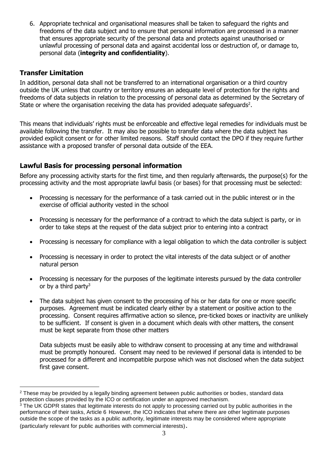6. Appropriate technical and organisational measures shall be taken to safeguard the rights and freedoms of the data subject and to ensure that personal information are processed in a manner that ensures appropriate security of the personal data and protects against unauthorised or unlawful processing of personal data and against accidental loss or destruction of, or damage to, personal data (**integrity and confidentiality**).

# **Transfer Limitation**

In addition, personal data shall not be transferred to an international organisation or a third country outside the UK unless that country or territory ensures an adequate level of protection for the rights and freedoms of data subjects in relation to the processing of personal data as determined by the Secretary of State or where the organisation receiving the data has provided adequate safeguards<sup>2</sup>.

This means that individuals' rights must be enforceable and effective legal remedies for individuals must be available following the transfer. It may also be possible to transfer data where the data subject has provided explicit consent or for other limited reasons. Staff should contact the DPO if they require further assistance with a proposed transfer of personal data outside of the EEA.

# **Lawful Basis for processing personal information**

Before any processing activity starts for the first time, and then regularly afterwards, the purpose(s) for the processing activity and the most appropriate lawful basis (or bases) for that processing must be selected:

- Processing is necessary for the performance of a task carried out in the public interest or in the exercise of official authority vested in the school
- Processing is necessary for the performance of a contract to which the data subject is party, or in order to take steps at the request of the data subject prior to entering into a contract
- Processing is necessary for compliance with a legal obligation to which the data controller is subject
- Processing is necessary in order to protect the vital interests of the data subject or of another natural person
- Processing is necessary for the purposes of the legitimate interests pursued by the data controller or by a third party<sup>3</sup>
- The data subject has given consent to the processing of his or her data for one or more specific purposes. Agreement must be indicated clearly either by a statement or positive action to the processing. Consent requires affirmative action so silence, pre-ticked boxes or inactivity are unlikely to be sufficient. If consent is given in a document which deals with other matters, the consent must be kept separate from those other matters

Data subjects must be easily able to withdraw consent to processing at any time and withdrawal must be promptly honoured. Consent may need to be reviewed if personal data is intended to be processed for a different and incompatible purpose which was not disclosed when the data subject first gave consent.

<sup>1</sup> <sup>2</sup> These may be provided by a legally binding agreement between public authorities or bodies, standard data protection clauses provided by the ICO or certification under an approved mechanism.

<sup>&</sup>lt;sup>3</sup> The UK GDPR states that legitimate interests do not apply to processing carried out by public authorities in the performance of their tasks, Article 6 However, the ICO indicates that where there are other legitimate purposes outside the scope of the tasks as a public authority, legitimate interests may be considered where appropriate (particularly relevant for public authorities with commercial interests).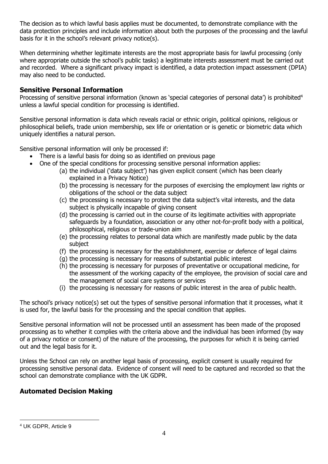The decision as to which lawful basis applies must be documented, to demonstrate compliance with the data protection principles and include information about both the purposes of the processing and the lawful basis for it in the school's relevant privacy notice(s).

When determining whether legitimate interests are the most appropriate basis for lawful processing (only where appropriate outside the school's public tasks) a legitimate interests assessment must be carried out and recorded. Where a significant privacy impact is identified, a data protection impact assessment (DPIA) may also need to be conducted.

## **Sensitive Personal Information**

Processing of sensitive personal information (known as 'special categories of personal data') is prohibited<sup>4</sup> unless a lawful special condition for processing is identified.

Sensitive personal information is data which reveals racial or ethnic origin, political opinions, religious or philosophical beliefs, trade union membership, sex life or orientation or is genetic or biometric data which uniquely identifies a natural person.

Sensitive personal information will only be processed if:

- There is a lawful basis for doing so as identified on previous page
- One of the special conditions for processing sensitive personal information applies:
	- (a) the individual ('data subject') has given explicit consent (which has been clearly explained in a Privacy Notice)
	- (b) the processing is necessary for the purposes of exercising the employment law rights or obligations of the school or the data subject
	- (c) the processing is necessary to protect the data subject's vital interests, and the data subject is physically incapable of giving consent
	- (d) the processing is carried out in the course of its legitimate activities with appropriate safeguards by a foundation, association or any other not-for-profit body with a political, philosophical, religious or trade-union aim
	- (e) the processing relates to personal data which are manifestly made public by the data subject
	- (f) the processing is necessary for the establishment, exercise or defence of legal claims
	- (g) the processing is necessary for reasons of substantial public interest
	- (h) the processing is necessary for purposes of preventative or occupational medicine, for the assessment of the working capacity of the employee, the provision of social care and the management of social care systems or services
	- (i) the processing is necessary for reasons of public interest in the area of public health.

The school's privacy notice(s) set out the types of sensitive personal information that it processes, what it is used for, the lawful basis for the processing and the special condition that applies.

Sensitive personal information will not be processed until an assessment has been made of the proposed processing as to whether it complies with the criteria above and the individual has been informed (by way of a privacy notice or consent) of the nature of the processing, the purposes for which it is being carried out and the legal basis for it.

Unless the School can rely on another legal basis of processing, explicit consent is usually required for processing sensitive personal data. Evidence of consent will need to be captured and recorded so that the school can demonstrate compliance with the UK GDPR.

## **Automated Decision Making**

<sup>1</sup> <sup>4</sup> UK GDPR, Article 9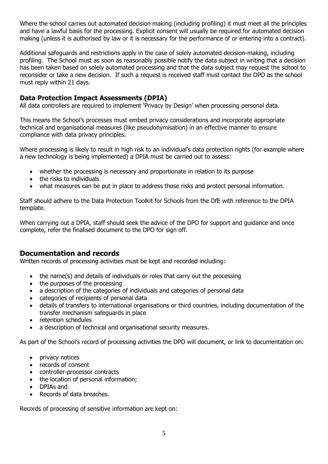Where the school carries out automated decision making (including profiling) it must meet all the principles and have a lawful basis for the processing. Explicit consent will usually be required for automated decision making (unless it is authorised by law or it is necessary for the performance of or entering into a contract).

Additional safeguards and restrictions apply in the case of solely automated decision-making, including profiling. The School must as soon as reasonably possible notify the data subject in writing that a decision has been taken based on solely automated processing and that the data subject may request the school to reconsider or take a new decision. If such a request is received staff must contact the DPO as the school must reply within 21 days.

## **Data Protection Impact Assessments (DPIA)**

All data controllers are required to implement 'Privacy by Design' when processing personal data.

This means the School's processes must embed privacy considerations and incorporate appropriate technical and organisational measures (like pseudonymisation) in an effective manner to ensure compliance with data privacy principles.

Where processing is likely to result in high risk to an individual's data protection rights (for example where a new technology is being implemented) a DPIA must be carried out to assess:

- whether the processing is necessary and proportionate in relation to its purpose
- the risks to individuals
- what measures can be put in place to address those risks and protect personal information.

Staff should adhere to the Data Protection Toolkit for Schools from the DfE with reference to the DPIA template.

When carrying out a DPIA, staff should seek the advice of the DPO for support and quidance and once complete, refer the finalised document to the DPO for sign off.

## **Documentation and records**

Written records of processing activities must be kept and recorded including:

- the name(s) and details of individuals or roles that carry out the processing
- the purposes of the processing
- a description of the categories of individuals and categories of personal data
- categories of recipients of personal data
- details of transfers to international organisations or third countries, including documentation of the transfer mechanism safeguards in place
- retention schedules
- a description of technical and organisational security measures.

As part of the School's record of processing activities the DPO will document, or link to documentation on:

- privacy notices
- records of consent
- controller-processor contracts
- the location of personal information;
- DPIAs and
- Records of data breaches.

Records of processing of sensitive information are kept on: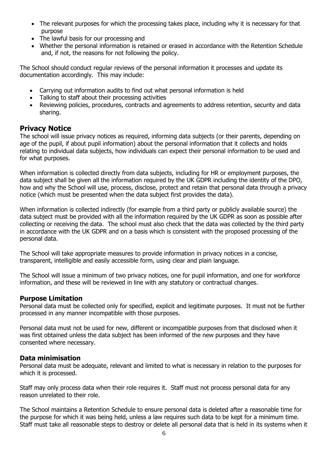- The relevant purposes for which the processing takes place, including why it is necessary for that purpose
- The lawful basis for our processing and
- Whether the personal information is retained or erased in accordance with the Retention Schedule and, if not, the reasons for not following the policy.

The School should conduct regular reviews of the personal information it processes and update its documentation accordingly. This may include:

- Carrying out information audits to find out what personal information is held
- Talking to staff about their processing activities
- Reviewing policies, procedures, contracts and agreements to address retention, security and data sharing.

# **Privacy Notice**

The school will issue privacy notices as required, informing data subjects (or their parents, depending on age of the pupil, if about pupil information) about the personal information that it collects and holds relating to individual data subjects, how individuals can expect their personal information to be used and for what purposes.

When information is collected directly from data subjects, including for HR or employment purposes, the data subject shall be given all the information required by the UK GDPR including the identity of the DPO, how and why the School will use, process, disclose, protect and retain that personal data through a privacy notice (which must be presented when the data subject first provides the data).

When information is collected indirectly (for example from a third party or publicly available source) the data subject must be provided with all the information required by the UK GDPR as soon as possible after collecting or receiving the data. The school must also check that the data was collected by the third party in accordance with the UK GDPR and on a basis which is consistent with the proposed processing of the personal data.

The School will take appropriate measures to provide information in privacy notices in a concise, transparent, intelligible and easily accessible form, using clear and plain language.

The School will issue a minimum of two privacy notices, one for pupil information, and one for workforce information, and these will be reviewed in line with any statutory or contractual changes.

## **Purpose Limitation**

Personal data must be collected only for specified, explicit and legitimate purposes. It must not be further processed in any manner incompatible with those purposes.

Personal data must not be used for new, different or incompatible purposes from that disclosed when it was first obtained unless the data subject has been informed of the new purposes and they have consented where necessary.

#### **Data minimisation**

Personal data must be adequate, relevant and limited to what is necessary in relation to the purposes for which it is processed.

Staff may only process data when their role requires it. Staff must not process personal data for any reason unrelated to their role.

The School maintains a Retention Schedule to ensure personal data is deleted after a reasonable time for the purpose for which it was being held, unless a law requires such data to be kept for a minimum time. Staff must take all reasonable steps to destroy or delete all personal data that is held in its systems when it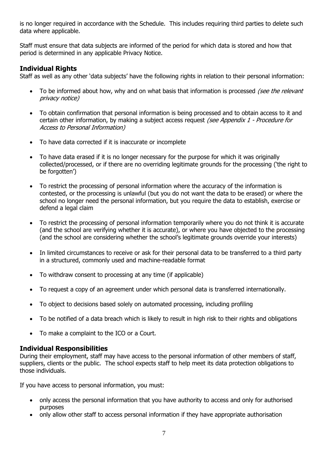is no longer required in accordance with the Schedule. This includes requiring third parties to delete such data where applicable.

Staff must ensure that data subjects are informed of the period for which data is stored and how that period is determined in any applicable Privacy Notice.

# **Individual Rights**

Staff as well as any other 'data subjects' have the following rights in relation to their personal information:

- To be informed about how, why and on what basis that information is processed *(see the relevant* privacy notice)
- To obtain confirmation that personal information is being processed and to obtain access to it and certain other information, by making a subject access request (see Appendix 1 - Procedure for Access to Personal Information)
- To have data corrected if it is inaccurate or incomplete
- To have data erased if it is no longer necessary for the purpose for which it was originally collected/processed, or if there are no overriding legitimate grounds for the processing ('the right to be forgotten')
- To restrict the processing of personal information where the accuracy of the information is contested, or the processing is unlawful (but you do not want the data to be erased) or where the school no longer need the personal information, but you require the data to establish, exercise or defend a legal claim
- To restrict the processing of personal information temporarily where you do not think it is accurate (and the school are verifying whether it is accurate), or where you have objected to the processing (and the school are considering whether the school's legitimate grounds override your interests)
- In limited circumstances to receive or ask for their personal data to be transferred to a third party in a structured, commonly used and machine-readable format
- To withdraw consent to processing at any time (if applicable)
- To request a copy of an agreement under which personal data is transferred internationally.
- To object to decisions based solely on automated processing, including profiling
- To be notified of a data breach which is likely to result in high risk to their rights and obligations
- To make a complaint to the ICO or a Court.

## **Individual Responsibilities**

During their employment, staff may have access to the personal information of other members of staff, suppliers, clients or the public. The school expects staff to help meet its data protection obligations to those individuals.

If you have access to personal information, you must:

- only access the personal information that you have authority to access and only for authorised purposes
- only allow other staff to access personal information if they have appropriate authorisation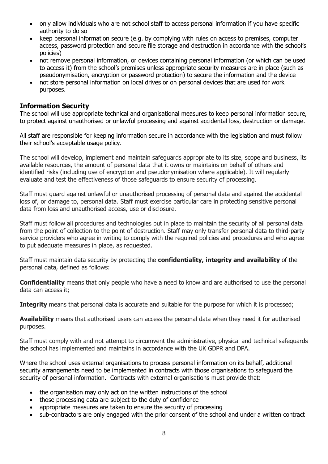- only allow individuals who are not school staff to access personal information if you have specific authority to do so
- keep personal information secure (e.g. by complying with rules on access to premises, computer access, password protection and secure file storage and destruction in accordance with the school's policies)
- not remove personal information, or devices containing personal information (or which can be used to access it) from the school's premises unless appropriate security measures are in place (such as pseudonymisation, encryption or password protection) to secure the information and the device
- not store personal information on local drives or on personal devices that are used for work purposes.

## **Information Security**

The school will use appropriate technical and organisational measures to keep personal information secure, to protect against unauthorised or unlawful processing and against accidental loss, destruction or damage.

All staff are responsible for keeping information secure in accordance with the legislation and must follow their school's acceptable usage policy.

The school will develop, implement and maintain safeguards appropriate to its size, scope and business, its available resources, the amount of personal data that it owns or maintains on behalf of others and identified risks (including use of encryption and pseudonymisation where applicable). It will regularly evaluate and test the effectiveness of those safeguards to ensure security of processing.

Staff must guard against unlawful or unauthorised processing of personal data and against the accidental loss of, or damage to, personal data. Staff must exercise particular care in protecting sensitive personal data from loss and unauthorised access, use or disclosure.

Staff must follow all procedures and technologies put in place to maintain the security of all personal data from the point of collection to the point of destruction. Staff may only transfer personal data to third-party service providers who agree in writing to comply with the required policies and procedures and who agree to put adequate measures in place, as requested.

Staff must maintain data security by protecting the **confidentiality, integrity and availability** of the personal data, defined as follows:

**Confidentiality** means that only people who have a need to know and are authorised to use the personal data can access it;

**Integrity** means that personal data is accurate and suitable for the purpose for which it is processed;

**Availability** means that authorised users can access the personal data when they need it for authorised purposes.

Staff must comply with and not attempt to circumvent the administrative, physical and technical safeguards the school has implemented and maintains in accordance with the UK GDPR and DPA.

Where the school uses external organisations to process personal information on its behalf, additional security arrangements need to be implemented in contracts with those organisations to safeguard the security of personal information. Contracts with external organisations must provide that:

- the organisation may only act on the written instructions of the school
- those processing data are subject to the duty of confidence
- appropriate measures are taken to ensure the security of processing
- sub-contractors are only engaged with the prior consent of the school and under a written contract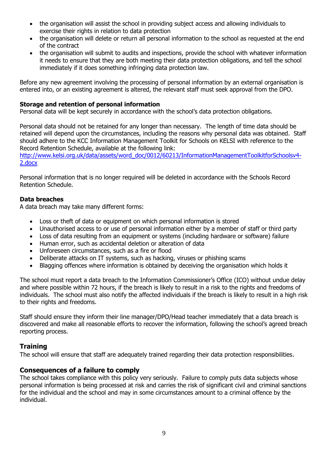- the organisation will assist the school in providing subject access and allowing individuals to exercise their rights in relation to data protection
- the organisation will delete or return all personal information to the school as requested at the end of the contract
- the organisation will submit to audits and inspections, provide the school with whatever information it needs to ensure that they are both meeting their data protection obligations, and tell the school immediately if it does something infringing data protection law.

Before any new agreement involving the processing of personal information by an external organisation is entered into, or an existing agreement is altered, the relevant staff must seek approval from the DPO.

#### **Storage and retention of personal information**

Personal data will be kept securely in accordance with the school's data protection obligations.

Personal data should not be retained for any longer than necessary. The length of time data should be retained will depend upon the circumstances, including the reasons why personal data was obtained. Staff should adhere to the KCC Information Management Toolkit for Schools on KELSI with reference to the Record Retention Schedule, available at the following link:

[http://www.kelsi.org.uk/data/assets/word\\_doc/0012/60213/InformationManagementToolkitforSchoolsv4-](http://www.kelsi.org.uk/data/assets/word_doc/0012/60213/InformationManagementToolkitforSchoolsv4-2.docx) [2.docx](http://www.kelsi.org.uk/data/assets/word_doc/0012/60213/InformationManagementToolkitforSchoolsv4-2.docx)

Personal information that is no longer required will be deleted in accordance with the Schools Record Retention Schedule.

#### **Data breaches**

A data breach may take many different forms:

- Loss or theft of data or equipment on which personal information is stored
- Unauthorised access to or use of personal information either by a member of staff or third party
- Loss of data resulting from an equipment or systems (including hardware or software) failure
- Human error, such as accidental deletion or alteration of data
- Unforeseen circumstances, such as a fire or flood
- Deliberate attacks on IT systems, such as hacking, viruses or phishing scams
- Blagging offences where information is obtained by deceiving the organisation which holds it

The school must report a data breach to the Information Commissioner's Office (ICO) without undue delay and where possible within 72 hours, if the breach is likely to result in a risk to the rights and freedoms of individuals. The school must also notify the affected individuals if the breach is likely to result in a high risk to their rights and freedoms.

Staff should ensure they inform their line manager/DPO/Head teacher immediately that a data breach is discovered and make all reasonable efforts to recover the information, following the school's agreed breach reporting process.

#### **Training**

The school will ensure that staff are adequately trained regarding their data protection responsibilities.

#### **Consequences of a failure to comply**

The school takes compliance with this policy very seriously. Failure to comply puts data subjects whose personal information is being processed at risk and carries the risk of significant civil and criminal sanctions for the individual and the school and may in some circumstances amount to a criminal offence by the individual.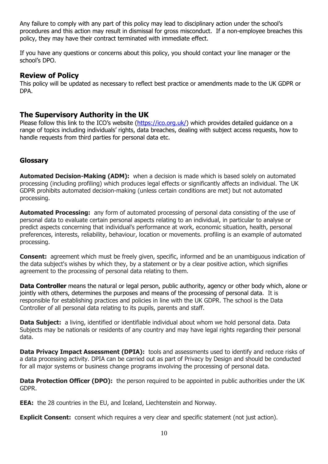Any failure to comply with any part of this policy may lead to disciplinary action under the school's procedures and this action may result in dismissal for gross misconduct. If a non-employee breaches this policy, they may have their contract terminated with immediate effect.

If you have any questions or concerns about this policy, you should contact your line manager or the school's DPO.

## **Review of Policy**

This policy will be updated as necessary to reflect best practice or amendments made to the UK GDPR or DPA.

# **The Supervisory Authority in the UK**

Please follow this link to the ICO's website ([https://ico.org.uk/\)](https://ico.org.uk/) which provides detailed guidance on a range of topics including individuals' rights, data breaches, dealing with subject access requests, how to handle requests from third parties for personal data etc.

# **Glossary**

**Automated Decision-Making (ADM):** when a decision is made which is based solely on automated processing (including profiling) which produces legal effects or significantly affects an individual. The UK GDPR prohibits automated decision-making (unless certain conditions are met) but not automated processing.

**Automated Processing:** any form of automated processing of personal data consisting of the use of personal data to evaluate certain personal aspects relating to an individual, in particular to analyse or predict aspects concerning that individual's performance at work, economic situation, health, personal preferences, interests, reliability, behaviour, location or movements. profiling is an example of automated processing.

**Consent:** agreement which must be freely given, specific, informed and be an unambiguous indication of the data subject's wishes by which they, by a statement or by a clear positive action, which signifies agreement to the processing of personal data relating to them.

**Data Controller** means the natural or legal person, public authority, agency or other body which, alone or jointly with others, determines the purposes and means of the processing of personal data. It is responsible for establishing practices and policies in line with the UK GDPR. The school is the Data Controller of all personal data relating to its pupils, parents and staff.

**Data Subject:** a living, identified or identifiable individual about whom we hold personal data. Data Subjects may be nationals or residents of any country and may have legal rights regarding their personal data.

**Data Privacy Impact Assessment (DPIA):** tools and assessments used to identify and reduce risks of a data processing activity. DPIA can be carried out as part of Privacy by Design and should be conducted for all major systems or business change programs involving the processing of personal data.

**Data Protection Officer (DPO):** the person required to be appointed in public authorities under the UK GDPR.

**EEA:** the 28 countries in the EU, and Iceland, Liechtenstein and Norway.

**Explicit Consent:** consent which requires a very clear and specific statement (not just action).